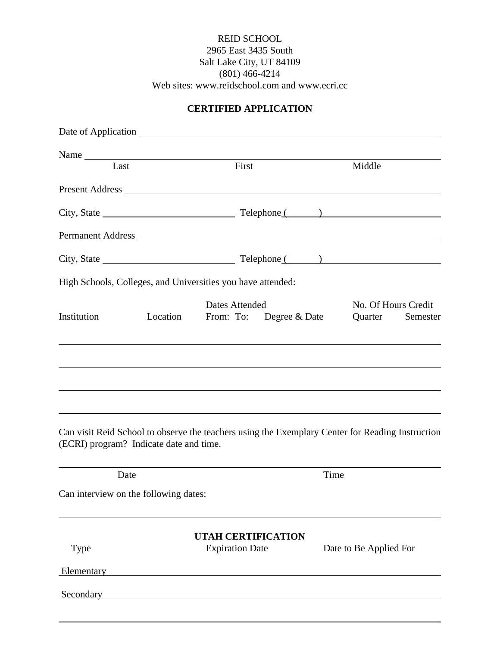#### REID SCHOOL 2965 East 3435 South Salt Lake City, UT 84109 (801) 466-4214 Web sites: www.reidschool.com and www.ecri.cc

#### **CERTIFIED APPLICATION**

|                                         |          | Name                                                                                                                                                                                                                           |      |                                |          |
|-----------------------------------------|----------|--------------------------------------------------------------------------------------------------------------------------------------------------------------------------------------------------------------------------------|------|--------------------------------|----------|
| Last                                    |          | First                                                                                                                                                                                                                          |      | Middle                         |          |
|                                         |          |                                                                                                                                                                                                                                |      |                                |          |
|                                         |          |                                                                                                                                                                                                                                |      |                                |          |
|                                         |          | Permanent Address Language and the contract of the contract of the contract of the contract of the contract of the contract of the contract of the contract of the contract of the contract of the contract of the contract of |      |                                |          |
|                                         |          |                                                                                                                                                                                                                                |      |                                |          |
|                                         |          | High Schools, Colleges, and Universities you have attended:                                                                                                                                                                    |      |                                |          |
| Institution                             | Location | <b>Dates Attended</b><br>From: To: Degree & Date                                                                                                                                                                               |      | No. Of Hours Credit<br>Quarter | Semester |
|                                         |          |                                                                                                                                                                                                                                |      |                                |          |
|                                         |          |                                                                                                                                                                                                                                |      |                                |          |
|                                         |          |                                                                                                                                                                                                                                |      |                                |          |
| (ECRI) program? Indicate date and time. |          | Can visit Reid School to observe the teachers using the Exemplary Center for Reading Instruction                                                                                                                               |      |                                |          |
| Date                                    |          |                                                                                                                                                                                                                                | Time |                                |          |
| Can interview on the following dates:   |          |                                                                                                                                                                                                                                |      |                                |          |
| Type                                    |          | <b>UTAH CERTIFICATION</b><br><b>Expiration Date</b>                                                                                                                                                                            |      | Date to Be Applied For         |          |
| Elementary                              |          |                                                                                                                                                                                                                                |      |                                |          |
| Secondary                               |          |                                                                                                                                                                                                                                |      |                                |          |
|                                         |          |                                                                                                                                                                                                                                |      |                                |          |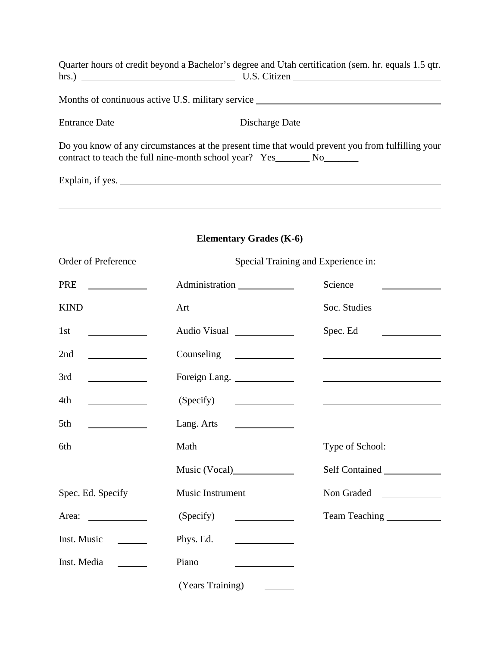|                                                                            | Quarter hours of credit beyond a Bachelor's degree and Utah certification (sem. hr. equals 1.5 qtr.<br>hrs.) $\qquad \qquad \qquad \text{U.S. Citizen}$ |
|----------------------------------------------------------------------------|---------------------------------------------------------------------------------------------------------------------------------------------------------|
|                                                                            | Months of continuous active U.S. military service _______________________________                                                                       |
|                                                                            |                                                                                                                                                         |
| contract to teach the full nine-month school year? Yes_________ No________ | Do you know of any circumstances at the present time that would prevent you from fulfilling your                                                        |
| Explain, if yes.                                                           |                                                                                                                                                         |

# **Elementary Grades (K-6)**

| Order of Preference                               | Special Training and Experience in:                    |                                                       |  |  |
|---------------------------------------------------|--------------------------------------------------------|-------------------------------------------------------|--|--|
| <b>PRE</b>                                        | Administration                                         | Science                                               |  |  |
| KIND                                              | Art                                                    | Soc. Studies                                          |  |  |
| 1st                                               | Audio Visual                                           | Spec. Ed                                              |  |  |
| 2nd                                               |                                                        |                                                       |  |  |
| 3rd                                               | Foreign Lang.                                          |                                                       |  |  |
| 4th                                               | (Specify)                                              | <u> 1989 - Johann Barbara, martin a</u> bhaile ann an |  |  |
| 5th<br><u> Albanya (Albanya)</u>                  | Lang. Arts $\qquad \qquad$                             |                                                       |  |  |
| 6th<br><u> Louis Communication (Communication</u> | Math<br><u> The Communication of the Communication</u> | Type of School:                                       |  |  |
|                                                   | Music (Vocal)                                          | Self Contained                                        |  |  |
| Spec. Ed. Specify                                 | Music Instrument                                       |                                                       |  |  |
|                                                   | (Specify)                                              | Team Teaching ______________                          |  |  |
| Inst. Music                                       | Phys. Ed.                                              |                                                       |  |  |
| Inst. Media                                       | Piano                                                  |                                                       |  |  |
|                                                   | (Years Training)                                       |                                                       |  |  |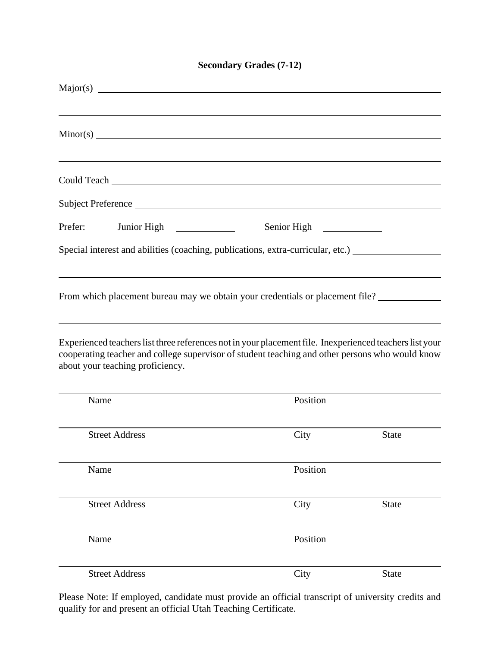### **Secondary Grades (7-12)**

| Could Teach Leaders and the could Teach Leaders and the could Teach Leaders and the could Teach Leaders and the could be a state of the could be a state of the could be a state of the could be a state of the could be a sta                  |          |              |
|-------------------------------------------------------------------------------------------------------------------------------------------------------------------------------------------------------------------------------------------------|----------|--------------|
|                                                                                                                                                                                                                                                 |          |              |
| Prefer:                                                                                                                                                                                                                                         |          |              |
| Special interest and abilities (coaching, publications, extra-curricular, etc.) ___________________                                                                                                                                             |          |              |
| From which placement bureau may we obtain your credentials or placement file?                                                                                                                                                                   |          |              |
| Experienced teachers list three references not in your placement file. In experienced teachers list your<br>cooperating teacher and college supervisor of student teaching and other persons who would know<br>about your teaching proficiency. |          |              |
| Name                                                                                                                                                                                                                                            | Position |              |
| <b>Street Address</b>                                                                                                                                                                                                                           | City     | <b>State</b> |
| Name                                                                                                                                                                                                                                            | Position |              |
| <b>Street Address</b>                                                                                                                                                                                                                           | City     | <b>State</b> |
| Name                                                                                                                                                                                                                                            | Position |              |
| <b>Street Address</b>                                                                                                                                                                                                                           | City     | <b>State</b> |

Please Note: If employed, candidate must provide an official transcript of university credits and qualify for and present an official Utah Teaching Certificate.